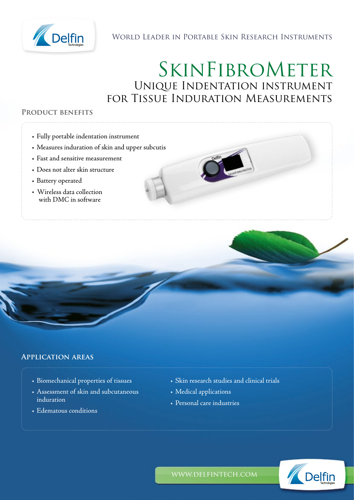

# World Leader in Portable Skin Research Instruments

# SkinFibroMeter Unique Indentation instrument for Tissue Induration Measurements

#### **Product benefits**

- Fully portable indentation instrument
- Measures induration of skin and upper subcutis
- Fast and sensitive measurement
- Does not alter skin structure
- Battery operated
- Wireless data collection with DMC in software

#### **Application areas**

- Biomechanical properties of tissues
- Assessment of skin and subcutaneous induration
- Edematous conditions
- Skin research studies and clinical trials
- Medical applications
- Personal care industries



www.delfintech.com